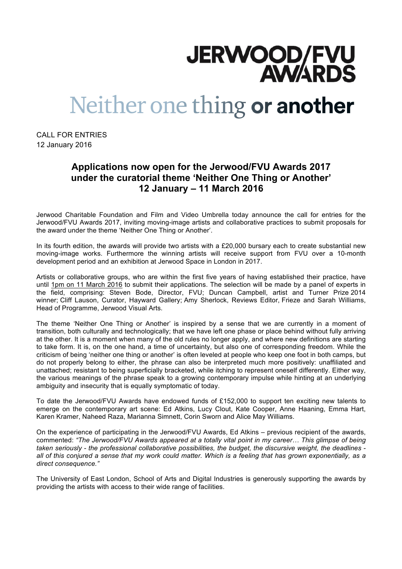# JERWOOD/FVU Neither one thing or another

CALL FOR ENTRIES 12 January 2016

# **Applications now open for the Jerwood/FVU Awards 2017 under the curatorial theme 'Neither One Thing or Another' 12 January – 11 March 2016**

Jerwood Charitable Foundation and Film and Video Umbrella today announce the call for entries for the Jerwood/FVU Awards 2017, inviting moving-image artists and collaborative practices to submit proposals for the award under the theme 'Neither One Thing or Another'.

In its fourth edition, the awards will provide two artists with a £20,000 bursary each to create substantial new moving-image works. Furthermore the winning artists will receive support from FVU over a 10-month development period and an exhibition at Jerwood Space in London in 2017.

Artists or collaborative groups, who are within the first five years of having established their practice, have until 1pm on 11 March 2016 to submit their applications. The selection will be made by a panel of experts in the field, comprising: Steven Bode, Director, FVU; Duncan Campbell, artist and Turner Prize 2014 winner; Cliff Lauson, Curator, Hayward Gallery; Amy Sherlock, Reviews Editor, Frieze and Sarah Williams, Head of Programme, Jerwood Visual Arts.

The theme 'Neither One Thing or Another' is inspired by a sense that we are currently in a moment of transition, both culturally and technologically; that we have left one phase or place behind without fully arriving at the other. It is a moment when many of the old rules no longer apply, and where new definitions are starting to take form. It is, on the one hand, a time of uncertainty, but also one of corresponding freedom. While the criticism of being 'neither one thing or another' is often leveled at people who keep one foot in both camps, but do not properly belong to either, the phrase can also be interpreted much more positively: unaffiliated and unattached; resistant to being superficially bracketed, while itching to represent oneself differently. Either way, the various meanings of the phrase speak to a growing contemporary impulse while hinting at an underlying ambiguity and insecurity that is equally symptomatic of today.

To date the Jerwood/FVU Awards have endowed funds of £152,000 to support ten exciting new talents to emerge on the contemporary art scene: Ed Atkins, Lucy Clout, Kate Cooper, Anne Haaning, Emma Hart, Karen Kramer, Naheed Raza, Marianna Simnett, Corin Sworn and Alice May Williams.

On the experience of participating in the Jerwood/FVU Awards, Ed Atkins – previous recipient of the awards, commented: *"The Jerwood/FVU Awards appeared at a totally vital point in my career… This glimpse of being taken seriously - the professional collaborative possibilities, the budget, the discursive weight, the deadlines all of this conjured a sense that my work could matter. Which is a feeling that has grown exponentially, as a direct consequence."*

The University of East London, School of Arts and Digital Industries is generously supporting the awards by providing the artists with access to their wide range of facilities.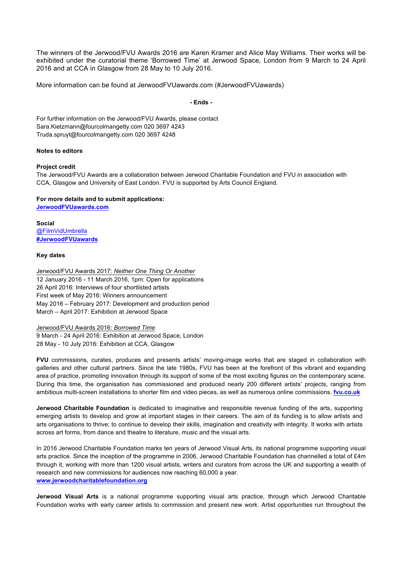The winners of the Jerwood/FVU Awards 2016 are Karen Kramer and Alice May Williams. Their works will be exhibited under the curatorial theme 'Borrowed Time' at Jerwood Space, London from 9 March to 24 April 2016 and at CCA in Glasgow from 28 May to 10 July 2016.

More information can be found at JerwoodFVUawards.com (#JerwoodFVUawards)

#### **- Ends -**

For further information on the Jerwood/FVU Awards, please contact Sara.Kietzmann@fourcolmangetty.com 020 3697 4243 Truda.spruyt@fourcolmangetty.com 020 3697 4248

## **Notes to editors**

#### **Project credit**

The Jerwood/FVU Awards are a collaboration between Jerwood Charitable Foundation and FVU in association with CCA, Glasgow and University of East London. FVU is supported by Arts Council England.

**For more details and to submit applications: JerwoodFVUawards.com**

**Social** @FilmVidUmbrella **#JerwoodFVUawards**

### **Key dates**

Jerwood/FVU Awards 2017: *Neither One Thing Or Another* 12 January 2016 - 11 March 2016, 1pm: Open for applications 26 April 2016: Interviews of four shortlisted artists First week of May 2016: Winners announcement May 2016 – February 2017: Development and production period March – April 2017: Exhibition at Jerwood Space

Jerwood/FVU Awards 2016: *Borrowed Time*

9 March - 24 April 2016: Exhibition at Jerwood Space, London 28 May - 10 July 2016: Exhibition at CCA, Glasgow

**FVU** commissions, curates, produces and presents artists' moving-image works that are staged in collaboration with galleries and other cultural partners. Since the late 1980s, FVU has been at the forefront of this vibrant and expanding area of practice, promoting innovation through its support of some of the most exciting figures on the contemporary scene. During this time, the organisation has commissioned and produced nearly 200 different artists' projects, ranging from ambitious multi-screen installations to shorter film and video pieces, as well as numerous online commissions. **fvu.co.uk**

**Jerwood Charitable Foundation** is dedicated to imaginative and responsible revenue funding of the arts, supporting emerging artists to develop and grow at important stages in their careers. The aim of its funding is to allow artists and arts organisations to thrive; to continue to develop their skills, imagination and creativity with integrity. It works with artists across art forms, from dance and theatre to literature, music and the visual arts.

In 2016 Jerwood Charitable Foundation marks ten years of Jerwood Visual Arts, its national programme supporting visual arts practice. Since the inception of the programme in 2006, Jerwood Charitable Foundation has channelled a total of £4m through it, working with more than 1200 visual artists, writers and curators from across the UK and supporting a wealth of research and new commissions for audiences now reaching 60,000 a year. **www.jerwoodcharitablefoundation.org**

**Jerwood Visual Arts** is a national programme supporting visual arts practice, through which Jerwood Charitable Foundation works with early career artists to commission and present new work. Artist opportunities run throughout the